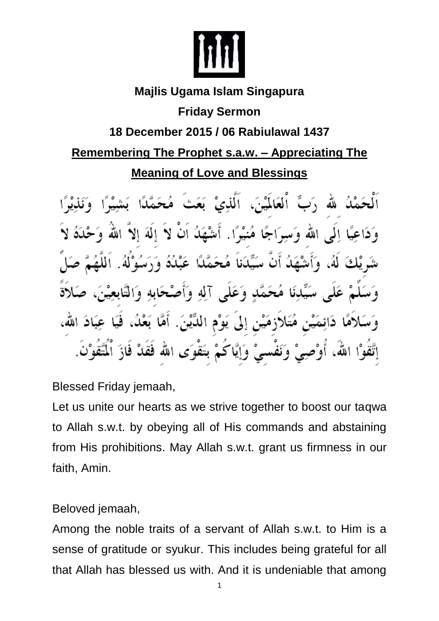

# **Majlis Ugama Islam Singapura**

#### **Friday Sermon**

### **18 December 2015 / 06 Rabiulawal 1437**

## **Remembering The Prophet s.a.w. – Appreciating The Meaning of Love and Blessings**

لله رَبِّ اْلْعَالَمْيْنَ، اَلَّذِيْ بَعَثَ مُحَمَّدًا وَ دَاعِيًا إِلَى اللهِ وَسِيَرَاجًا مُنْيَوًا. أَشْهَلُهُ أَنْ لاَ إِلَٰهَ إِلاَّ اللَّهَ شَرِيْكَ لَهُ، وَأَشْهَدُ أَنَّ سَيِّدَناَ مُحَمَّدًا عَبْدُهُ وَرَسُوْلَهُ. اَللَّا مُحَمَّدٍ وَعَلَى آلِهِ وَأَصْحَابِهِ وَالتَّابِعِيْنَ لاَهًا دَائِمَيْنِ مُتَلاَزِمَيْنِ إِلَى يَوْمِ اللَّيْنَ. أَمَّا بَعْدُ، فَيَا عِبَادَ الله، وَنَفْسَىْ وَإِيَّاكُمْ بَتَقْوَى الله فَقَدْ فَازَ إتَّقوْا الله، أوْصِيْ

Blessed Friday jemaah,

Let us unite our hearts as we strive together to boost our tagwa to Allah s.w.t. by obeying all of His commands and abstaining from His prohibitions. May Allah s.w.t. grant us firmness in our faith, Amin.

Beloved jemaah,

Among the noble traits of a servant of Allah s.w.t. to Him is a sense of gratitude or syukur. This includes being grateful for all that Allah has blessed us with. And it is undeniable that among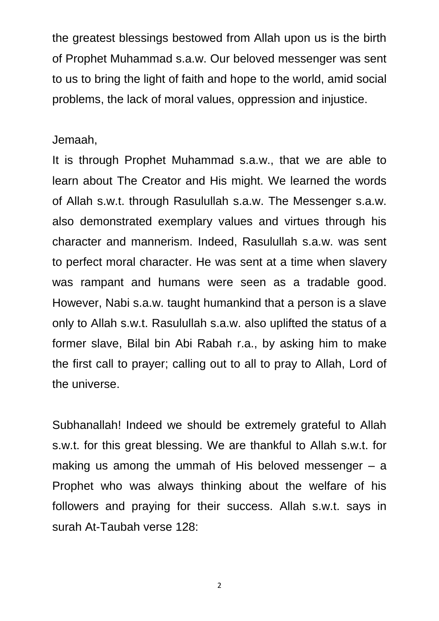the greatest blessings bestowed from Allah upon us is the birth of Prophet Muhammad s.a.w. Our beloved messenger was sent to us to bring the light of faith and hope to the world, amid social problems, the lack of moral values, oppression and injustice.

#### Jemaah,

It is through Prophet Muhammad s.a.w., that we are able to learn about The Creator and His might. We learned the words of Allah s.w.t. through Rasulullah s.a.w. The Messenger s.a.w. also demonstrated exemplary values and virtues through his character and mannerism. Indeed, Rasulullah s.a.w. was sent to perfect moral character. He was sent at a time when slavery was rampant and humans were seen as a tradable good. However, Nabi s.a.w. taught humankind that a person is a slave only to Allah s.w.t. Rasulullah s.a.w. also uplifted the status of a former slave, Bilal bin Abi Rabah r.a., by asking him to make the first call to prayer; calling out to all to pray to Allah, Lord of the universe.

Subhanallah! Indeed we should be extremely grateful to Allah s.w.t. for this great blessing. We are thankful to Allah s.w.t. for making us among the ummah of His beloved messenger – a Prophet who was always thinking about the welfare of his followers and praying for their success. Allah s.w.t. says in surah At-Taubah verse 128:

2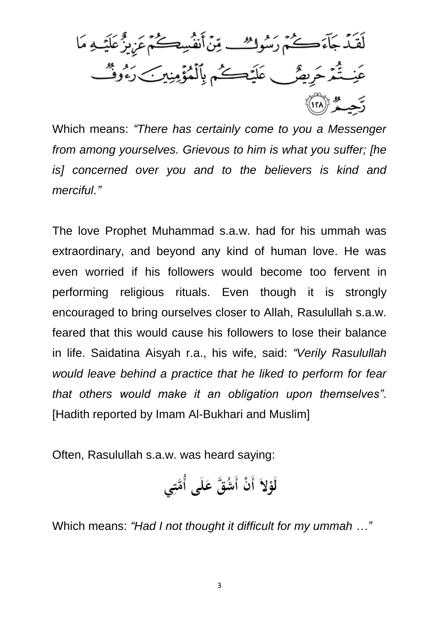لَقَدْ جَآءَكُمْ رَسُوكِ مِّنَ أَنفُسِكُمْ عَزِيزٌ عَلَيْـهِ مَا عَنِـتُّمَرْحَرِيضٌ عَلَيْكُمْ بِٱلْمُؤْمِنِينَ رَءُوثٌ رَّحِبُّهُمْ ﴿ ٱ

Which means: *"There has certainly come to you a Messenger from among yourselves. Grievous to him is what you suffer; [he is] concerned over you and to the believers is kind and merciful."*

The love Prophet Muhammad s.a.w. had for his ummah was extraordinary, and beyond any kind of human love. He was even worried if his followers would become too fervent in performing religious rituals. Even though it is strongly encouraged to bring ourselves closer to Allah, Rasulullah s.a.w. feared that this would cause his followers to lose their balance in life. Saidatina Aisyah r.a., his wife, said: *"Verily Rasulullah would leave behind a practice that he liked to perform for fear that others would make it an obligation upon themselves"*. [Hadith reported by Imam Al-Bukhari and Muslim]

Often, Rasulullah s.a.w. was heard saying:

لَوْلاً أَنْ أَشُقَّ عَلَى أُمَّتِي

Which means: *"Had I not thought it difficult for my ummah …"*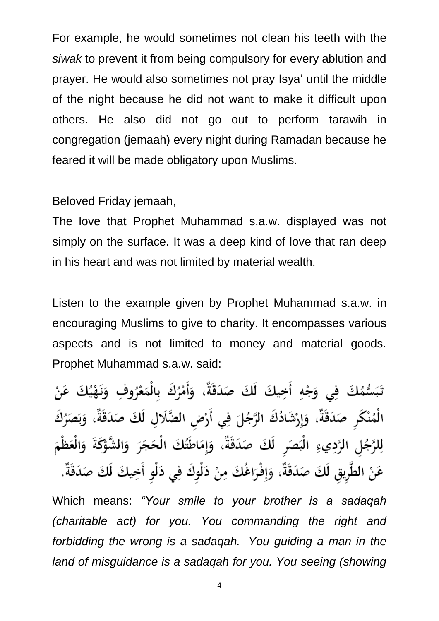For example, he would sometimes not clean his teeth with the *siwak* to prevent it from being compulsory for every ablution and prayer. He would also sometimes not pray Isya' until the middle of the night because he did not want to make it difficult upon others. He also did not go out to perform tarawih in congregation (jemaah) every night during Ramadan because he feared it will be made obligatory upon Muslims.

Beloved Friday jemaah,

The love that Prophet Muhammad s.a.w. displayed was not simply on the surface. It was a deep kind of love that ran deep in his heart and was not limited by material wealth.

Listen to the example given by Prophet Muhammad s.a.w. in encouraging Muslims to give to charity. It encompasses various aspects and is not limited to money and material goods. Prophet Muhammad s.a.w. said:

تَبَسُّمُكَ فِي وَجْهِ أَخِيكَ لَكَ صَدَقَةٌ، وَأَمْرُكَ بِالْمَعْرُوفِ وَنَهْيُكَ عَنْ الْمُنْكَرِ صَدَقَةٌ، وَإِرْشَادُكَ الرَّجُلَ فِى أَرْضِ الضَّلَالِ لَكَ صَدَقَةٌ، وَبَصَرُكَ لِلرَّجُلِ الرَّدِيءِ الْبَصَرِ لَكَ صَدَقَةٌ، وَإِمَاطَتُكَ الْحَجَرَ وَالشَّوْكَةَ وَالْعَظْمَ عَنْ الطَّرِيقِ لَكَ صَدَقَةٌ، وَإِفْرَاغُكَ مِنْ دَلْوكَ فِي دَلْوٍ أَخِيكَ لَكَ صَدَقَةٌ.

Which means: *"Your smile to your brother is a sadaqah (charitable act) for you. You commanding the right and forbidding the wrong is a sadaqah. You guiding a man in the land of misguidance is a sadaqah for you. You seeing (showing*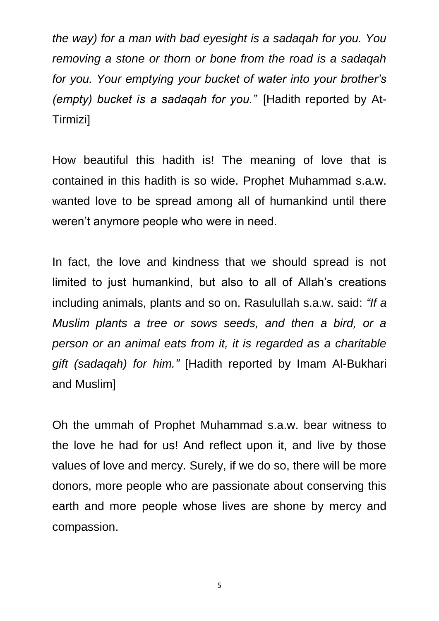*the way) for a man with bad eyesight is a sadaqah for you. You removing a stone or thorn or bone from the road is a sadaqah for you. Your emptying your bucket of water into your brother's (empty) bucket is a sadaqah for you."* [Hadith reported by At-Tirmizi]

How beautiful this hadith is! The meaning of love that is contained in this hadith is so wide. Prophet Muhammad s.a.w. wanted love to be spread among all of humankind until there weren't anymore people who were in need.

In fact, the love and kindness that we should spread is not limited to just humankind, but also to all of Allah's creations including animals, plants and so on. Rasulullah s.a.w. said: *"If a Muslim plants a tree or sows seeds, and then a bird, or a person or an animal eats from it, it is regarded as a charitable gift (sadaqah) for him."* [Hadith reported by Imam Al-Bukhari and Muslim]

Oh the ummah of Prophet Muhammad s.a.w. bear witness to the love he had for us! And reflect upon it, and live by those values of love and mercy. Surely, if we do so, there will be more donors, more people who are passionate about conserving this earth and more people whose lives are shone by mercy and compassion.

5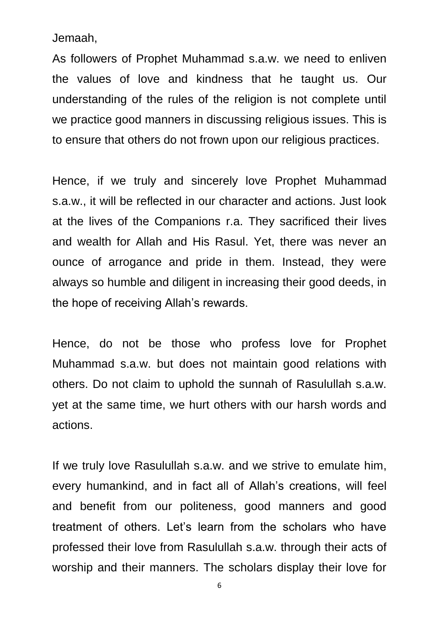Jemaah,

As followers of Prophet Muhammad s.a.w. we need to enliven the values of love and kindness that he taught us. Our understanding of the rules of the religion is not complete until we practice good manners in discussing religious issues. This is to ensure that others do not frown upon our religious practices.

Hence, if we truly and sincerely love Prophet Muhammad s.a.w., it will be reflected in our character and actions. Just look at the lives of the Companions r.a. They sacrificed their lives and wealth for Allah and His Rasul. Yet, there was never an ounce of arrogance and pride in them. Instead, they were always so humble and diligent in increasing their good deeds, in the hope of receiving Allah's rewards.

Hence, do not be those who profess love for Prophet Muhammad s.a.w. but does not maintain good relations with others. Do not claim to uphold the sunnah of Rasulullah s.a.w. yet at the same time, we hurt others with our harsh words and actions.

If we truly love Rasulullah s.a.w. and we strive to emulate him, every humankind, and in fact all of Allah's creations, will feel and benefit from our politeness, good manners and good treatment of others. Let's learn from the scholars who have professed their love from Rasulullah s.a.w. through their acts of worship and their manners. The scholars display their love for

6